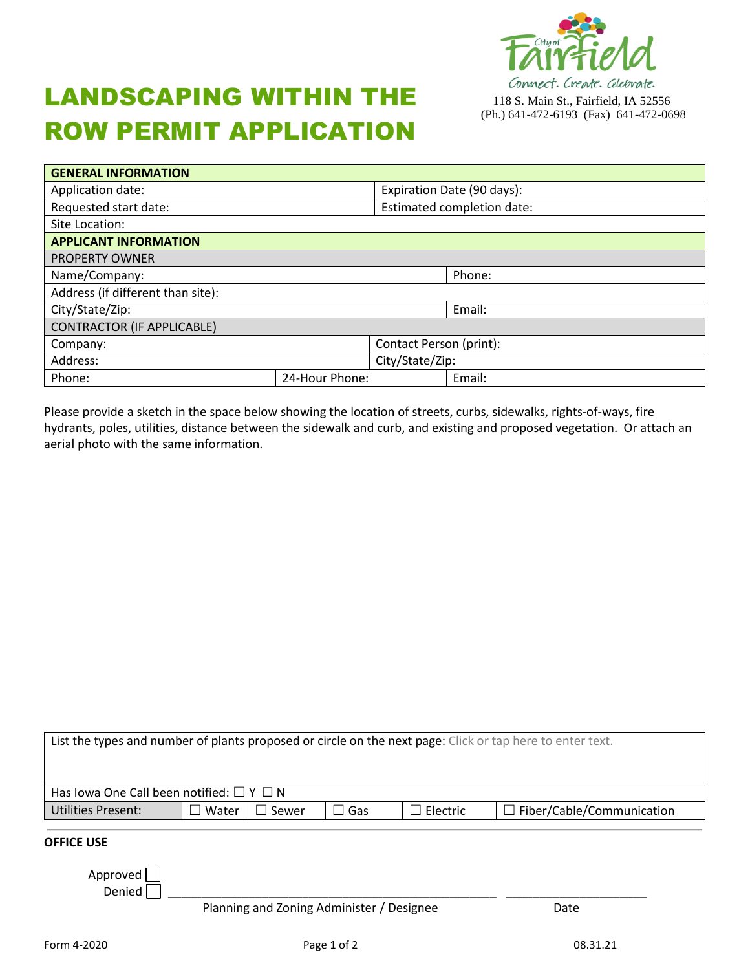

Connect. Create. Celebrate. 118 S. Main St., Fairfield, IA 52556 (Ph.) 641-472-6193 (Fax) 641-472-0698

# LANDSCAPING WITHIN THE ROW PERMIT APPLICATION

| <b>GENERAL INFORMATION</b>        |                |                            |        |  |  |  |  |
|-----------------------------------|----------------|----------------------------|--------|--|--|--|--|
| Application date:                 |                | Expiration Date (90 days): |        |  |  |  |  |
| Requested start date:             |                | Estimated completion date: |        |  |  |  |  |
| Site Location:                    |                |                            |        |  |  |  |  |
| <b>APPLICANT INFORMATION</b>      |                |                            |        |  |  |  |  |
| <b>PROPERTY OWNER</b>             |                |                            |        |  |  |  |  |
| Name/Company:                     |                |                            | Phone: |  |  |  |  |
| Address (if different than site): |                |                            |        |  |  |  |  |
| City/State/Zip:                   |                |                            | Email: |  |  |  |  |
| <b>CONTRACTOR (IF APPLICABLE)</b> |                |                            |        |  |  |  |  |
| Company:                          |                | Contact Person (print):    |        |  |  |  |  |
| Address:                          |                | City/State/Zip:            |        |  |  |  |  |
| Phone:                            | 24-Hour Phone: |                            | Email: |  |  |  |  |

Please provide a sketch in the space below showing the location of streets, curbs, sidewalks, rights-of-ways, fire hydrants, poles, utilities, distance between the sidewalk and curb, and existing and proposed vegetation. Or attach an aerial photo with the same information.

| List the types and number of plants proposed or circle on the next page: Click or tap here to enter text. |       |         |            |            |                                  |  |  |
|-----------------------------------------------------------------------------------------------------------|-------|---------|------------|------------|----------------------------------|--|--|
|                                                                                                           |       |         |            |            |                                  |  |  |
| Has Iowa One Call been notified: $\Box$ Y $\Box$ N                                                        |       |         |            |            |                                  |  |  |
| <b>Utilities Present:</b>                                                                                 | Water | l Sewer | $\Box$ Gas | l Electric | $\Box$ Fiber/Cable/Communication |  |  |
| <b>OFFICE USE</b>                                                                                         |       |         |            |            |                                  |  |  |

Approved Denied \_\_\_\_\_\_\_\_\_\_\_\_\_\_\_\_\_\_\_\_\_\_\_\_\_\_\_\_\_\_\_\_\_\_\_\_\_\_\_\_\_\_\_\_\_\_\_\_\_ \_\_\_\_\_\_\_\_\_\_\_\_\_\_\_\_\_\_\_\_\_

Planning and Zoning Administer / Designee Date